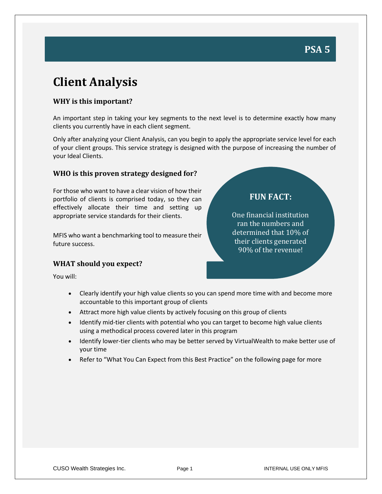**FUN FACT:**

One financial institution ran the numbers and determined that 10% of their clients generated 90% of the revenue!

# **Client Analysis**

#### **WHY is this important?**

An important step in taking your key segments to the next level is to determine exactly how many clients you currently have in each client segment.

Only after analyzing your Client Analysis, can you begin to apply the appropriate service level for each of your client groups. This service strategy is designed with the purpose of increasing the number of your Ideal Clients.

#### **WHO is this proven strategy designed for?**

For those who want to have a clear vision of how their portfolio of clients is comprised today, so they can effectively allocate their time and setting up appropriate service standards for their clients.

MFIS who want a benchmarking tool to measure their future success.

#### **WHAT should you expect?**

You will:

- Clearly identify your high value clients so you can spend more time with and become more accountable to this important group of clients
- Attract more high value clients by actively focusing on this group of clients
- Identify mid-tier clients with potential who you can target to become high value clients using a methodical process covered later in this program
- Identify lower-tier clients who may be better served by VirtualWealth to make better use of your time
- Refer to "What You Can Expect from this Best Practice" on the following page for more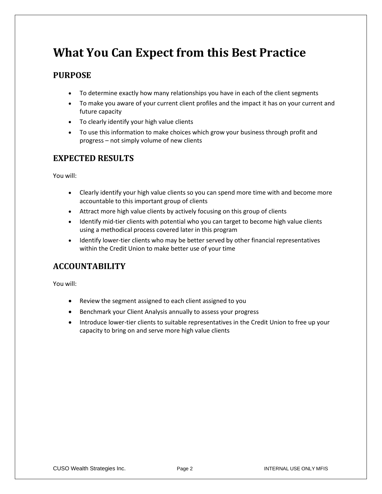## **What You Can Expect from this Best Practice**

### **PURPOSE**

- To determine exactly how many relationships you have in each of the client segments
- To make you aware of your current client profiles and the impact it has on your current and future capacity
- To clearly identify your high value clients
- To use this information to make choices which grow your business through profit and progress – not simply volume of new clients

### **EXPECTED RESULTS**

You will:

- Clearly identify your high value clients so you can spend more time with and become more accountable to this important group of clients
- Attract more high value clients by actively focusing on this group of clients
- Identify mid-tier clients with potential who you can target to become high value clients using a methodical process covered later in this program
- Identify lower-tier clients who may be better served by other financial representatives within the Credit Union to make better use of your time

## **ACCOUNTABILITY**

You will:

- Review the segment assigned to each client assigned to you
- Benchmark your Client Analysis annually to assess your progress
- Introduce lower-tier clients to suitable representatives in the Credit Union to free up your capacity to bring on and serve more high value clients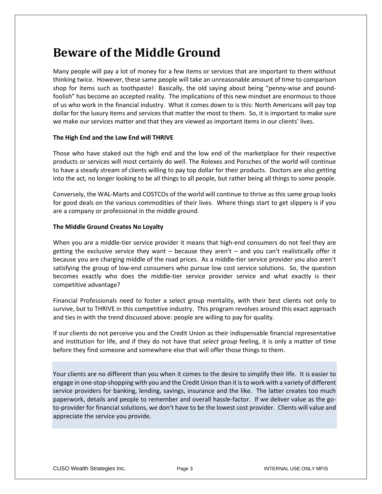## **Beware of the Middle Ground**

Many people will pay a lot of money for a few items or services that are important to them without thinking twice. However, these same people will take an unreasonable amount of time to comparison shop for items such as toothpaste! Basically, the old saying about being "penny-wise and poundfoolish" has become an accepted reality. The implications of this new mindset are enormous to those of us who work in the financial industry. What it comes down to is this: North Americans will pay top dollar for the luxury items and services that matter the most to them. So, it is important to make sure we make our services matter and that they are viewed as important items in our clients' lives.

#### **The High End and the Low End will THRIVE**

Those who have staked out the high end and the low end of the marketplace for their respective products or services will most certainly do well. The Rolexes and Porsches of the world will continue to have a steady stream of clients willing to pay top dollar for their products. Doctors are also getting into the act, no longer looking to be all things to all people, but rather being all things to some people.

Conversely, the WAL-Marts and COSTCOs of the world will continue to thrive as this same group looks for good deals on the various commodities of their lives. Where things start to get slippery is if you are a company or professional in the middle ground.

#### **The Middle Ground Creates No Loyalty**

When you are a middle-tier service provider it means that high-end consumers do not feel they are getting the exclusive service they want  $-$  because they aren't  $-$  and you can't realistically offer it because you are charging middle of the road prices. As a middle-tier service provider you also aren't satisfying the group of low-end consumers who pursue low cost service solutions. So, the question becomes exactly who does the middle-tier service provider service and what exactly is their competitive advantage?

Financial Professionals need to foster a select group mentality, with their best clients not only to survive, but to THRIVE in this competitive industry. This program revolves around this exact approach and ties in with the trend discussed above: people are willing to pay for quality.

If our clients do not perceive you and the Credit Union as their indispensable financial representative and institution for life, and if they do not have that *select group* feeling, it is only a matter of time before they find someone and somewhere else that will offer those things to them.

Your clients are no different than you when it comes to the desire to simplify their life. It is easier to engage in one-stop-shopping with you and the Credit Union than it is to work with a variety of different service providers for banking, lending, savings, insurance and the like. The latter creates too much paperwork, details and people to remember and overall hassle-factor. If we deliver value as the goto-provider for financial solutions, we don't have to be the lowest cost provider. Clients will value and appreciate the service you provide.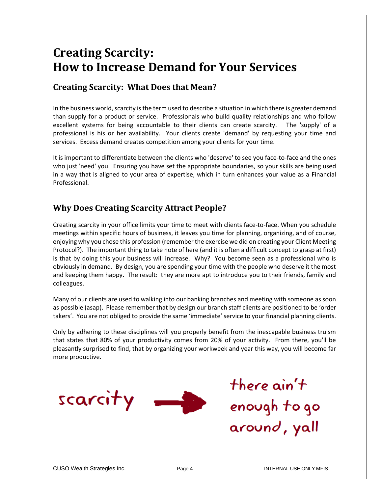## **Creating Scarcity: How to Increase Demand for Your Services**

### **Creating Scarcity: What Does that Mean?**

In the business world, scarcity is the term used to describe a situation in which there is greater demand than supply for a product or service. Professionals who build quality relationships and who follow excellent systems for being accountable to their clients can create scarcity. The 'supply' of a professional is his or her availability. Your clients create 'demand' by requesting your time and services. Excess demand creates competition among your clients for your time.

It is important to differentiate between the clients who 'deserve' to see you face-to-face and the ones who just 'need' you. Ensuring you have set the appropriate boundaries, so your skills are being used in a way that is aligned to your area of expertise, which in turn enhances your value as a Financial Professional.

## **Why Does Creating Scarcity Attract People?**

Creating scarcity in your office limits your time to meet with clients face-to-face. When you schedule meetings within specific hours of business, it leaves you time for planning, organizing, and of course, enjoying why you chose this profession (remember the exercise we did on creating your Client Meeting Protocol?). The important thing to take note of here (and it is often a difficult concept to grasp at first) is that by doing this your business will increase. Why? You become seen as a professional who is obviously in demand. By design, you are spending your time with the people who deserve it the most and keeping them happy. The result: they are more apt to introduce you to their friends, family and colleagues.

Many of our clients are used to walking into our banking branches and meeting with someone as soon as possible (asap). Please remember that by design our branch staff clients are positioned to be 'order takers'. You are not obliged to provide the same 'immediate' service to your financial planning clients.

Only by adhering to these disciplines will you properly benefit from the inescapable business truism that states that 80% of your productivity comes from 20% of your activity. From there, you'll be pleasantly surprised to find, that by organizing your workweek and year this way, you will become far more productive.



there ain't enough to go around, yall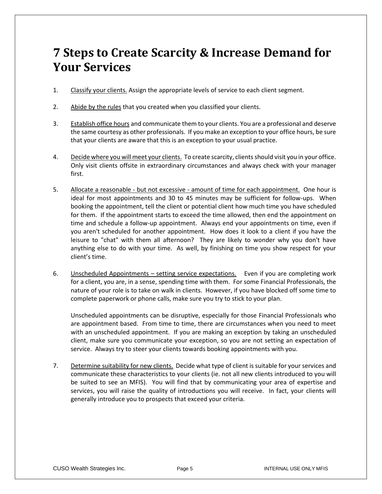## **7 Steps to Create Scarcity & Increase Demand for Your Services**

- 1. Classify your clients. Assign the appropriate levels of service to each client segment.
- 2. Abide by the rules that you created when you classified your clients.
- 3. Establish office hours and communicate them to your clients. You are a professional and deserve the same courtesy as other professionals. If you make an exception to your office hours, be sure that your clients are aware that this is an exception to your usual practice.
- 4. Decide where you will meet your clients. To create scarcity, clients should visit you in your office. Only visit clients offsite in extraordinary circumstances and always check with your manager first.
- 5. Allocate a reasonable but not excessive amount of time for each appointment. One hour is ideal for most appointments and 30 to 45 minutes may be sufficient for follow-ups. When booking the appointment, tell the client or potential client how much time you have scheduled for them. If the appointment starts to exceed the time allowed, then end the appointment on time and schedule a follow-up appointment. Always end your appointments on time, even if you aren't scheduled for another appointment. How does it look to a client if you have the leisure to "chat" with them all afternoon? They are likely to wonder why you don't have anything else to do with your time. As well, by finishing on time you show respect for your client's time.
- 6. Unscheduled Appointments setting service expectations. Even if you are completing work for a client, you are, in a sense, spending time with them. For some Financial Professionals, the nature of your role is to take on walk in clients. However, if you have blocked off some time to complete paperwork or phone calls, make sure you try to stick to your plan.

Unscheduled appointments can be disruptive, especially for those Financial Professionals who are appointment based. From time to time, there are circumstances when you need to meet with an unscheduled appointment. If you are making an exception by taking an unscheduled client, make sure you communicate your exception, so you are not setting an expectation of service. Always try to steer your clients towards booking appointments with you.

7. Determine suitability for new clients. Decide what type of client is suitable for your services and communicate these characteristics to your clients (ie. not all new clients introduced to you will be suited to see an MFIS). You will find that by communicating your area of expertise and services, you will raise the quality of introductions you will receive. In fact, your clients will generally introduce you to prospects that exceed your criteria.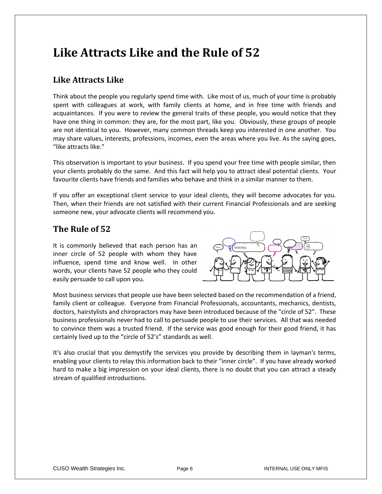## **Like Attracts Like and the Rule of 52**

## **Like Attracts Like**

Think about the people you regularly spend time with. Like most of us, much of your time is probably spent with colleagues at work, with family clients at home, and in free time with friends and acquaintances. If you were to review the general traits of these people, you would notice that they have one thing in common: they are, for the most part, like you. Obviously, these groups of people are not identical to you. However, many common threads keep you interested in one another. You may share values, interests, professions, incomes, even the areas where you live. As the saying goes, "like attracts like."

This observation is important to your business. If you spend your free time with people similar, then your clients probably do the same. And this fact will help you to attract ideal potential clients. Your favourite clients have friends and families who behave and think in a similar manner to them.

If you offer an exceptional client service to your ideal clients, they will become advocates for you. Then, when their friends are not satisfied with their current Financial Professionals and are seeking someone new, your advocate clients will recommend you.

## **The Rule of 52**

It is commonly believed that each person has an inner circle of 52 people with whom they have influence, spend time and know well. In other words, your clients have 52 people who they could easily persuade to call upon you.



Most business services that people use have been selected based on the recommendation of a friend, family client or colleague. Everyone from Financial Professionals, accountants, mechanics, dentists, doctors, hairstylists and chiropractors may have been introduced because of the "circle of 52". These business professionals never had to call to persuade people to use their services. All that was needed to convince them was a trusted friend. If the service was good enough for their good friend, it has certainly lived up to the "circle of 52's" standards as well.

It's also crucial that you demystify the services you provide by describing them in layman's terms, enabling your clients to relay this information back to their "inner circle". If you have already worked hard to make a big impression on your ideal clients, there is no doubt that you can attract a steady stream of qualified introductions.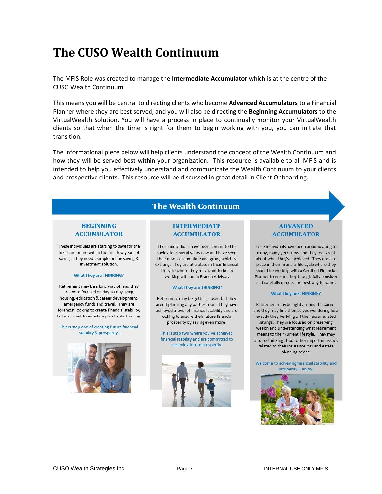## **The CUSO Wealth Continuum**

The MFIS Role was created to manage the **Intermediate Accumulator** which is at the centre of the CUSO Wealth Continuum.

This means you will be central to directing clients who become **Advanced Accumulators** to a Financial Planner where they are best served, and you will also be directing the **Beginning Accumulators** to the VirtualWealth Solution. You will have a process in place to continually monitor your VirtualWealth clients so that when the time is right for them to begin working with you, you can initiate that transition.

The informational piece below will help clients understand the concept of the Wealth Continuum and how they will be served best within your organization. This resource is available to all MFIS and is intended to help you effectively understand and communicate the Wealth Continuum to your clients and prospective clients. This resource will be discussed in great detail in Client Onboarding.

### **The Wealth Continuum**

#### **BEGINNING ACCUMULATOR**

These individuals are starting to save for the first time or are within the first few years of saving. They need a simple online saving & investment solution.

#### **What They are THINKING?**

Retirement may be a long way off and they are more focused on day-to-day living. housing, education & career development, emergency funds and travel. They are foremost looking to create financial stability, but also want to initiate a plan to start saving.

This is step one of creating future financial stability & prosperity.



#### **INTERMEDIATE ACCUMULATOR**

These individuals have been committed to saving for several years now and have seen their assets accumulate and grow, which is exciting. They are at a place in their financial lifecycle where they may want to begin working with an In Branch Advisor.

#### **What They are THINKING?**

Retirement may be getting closer, but they aren't planning any parties soon. They have achieved a level of financial stability and are looking to ensure their future financial prosperity by saving even more!

This is step two where you've achieved financial stability and are committed to achieving future prosperity.



#### **ADVANCED ACCUMULATOR**

These individuals have been accumulating for many, many years now and they feel great about what they've achieved. They are at a place in their financial life cycle where they should be working with a Certified Financial Planner to ensure they thoughtfully consider and carefully discuss the best way forward.

#### **What They are THINKING?**

Retirement may be right around the corner and they may find themselves wondering how exactly they be living off their accumulated savings. They are focused on preserving wealth and understanding what retirement means to their current lifestyle. They may also be thinking about other important issues related to their insurance, tax and estate planning needs.

Welcome to achieving financial stability and prosperity - enjoy!

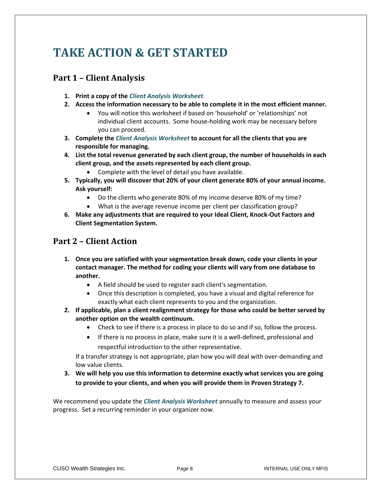# **TAKE ACTION & GET STARTED**

## **Part 1 – Client Analysis**

- **1. Print a copy of the** *Client Analysis Worksheet*.
- **2. Access the information necessary to be able to complete it in the most efficient manner.**
	- You will notice this worksheet if based on 'household' or 'relationships' not individual client accounts. Some house-holding work may be necessary before you can proceed.
- **3. Complete the** *Client Analysis Worksheet* **to account for all the clients that you are responsible for managing.**
- **4. List the total revenue generated by each client group, the number of households in each client group, and the assets represented by each client group.**
	- Complete with the level of detail you have available.
- **5. Typically, you will discover that 20% of your client generate 80% of your annual income. Ask yourself:** 
	- Do the clients who generate 80% of my income deserve 80% of my time?
	- What is the average revenue income per client per classification group?
- **6. Make any adjustments that are required to your Ideal Client, Knock-Out Factors and Client Segmentation System.**

### **Part 2 – Client Action**

- **1. Once you are satisfied with your segmentation break down, code your clients in your contact manager. The method for coding your clients will vary from one database to another.**
	- A field should be used to register each client's segmentation.
	- Once this description is completed, you have a visual and digital reference for exactly what each client represents to you and the organization.
- **2. If applicable, plan a client realignment strategy for those who could be better served by another option on the wealth continuum.** 
	- Check to see if there is a process in place to do so and if so, follow the process.
	- If there is no process in place, make sure it is a well-defined, professional and respectful introduction to the other representative.

If a transfer strategy is not appropriate, plan how you will deal with over-demanding and low value clients.

**3. We will help you use this information to determine exactly what services you are going to provide to your clients, and when you will provide them in Proven Strategy 7.**

We recommend you update the *Client Analysis Worksheet* annually to measure and assess your progress. Set a recurring reminder in your organizer now.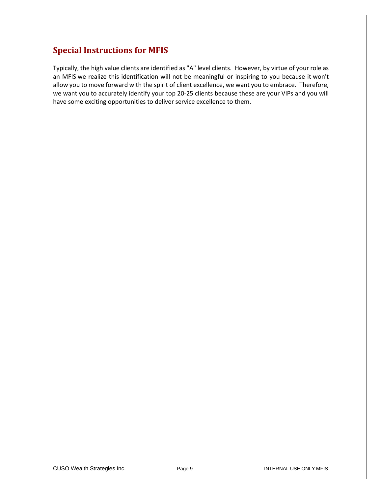## **Special Instructions for MFIS**

Typically, the high value clients are identified as "A" level clients. However, by virtue of your role as an MFIS we realize this identification will not be meaningful or inspiring to you because it won't allow you to move forward with the spirit of client excellence, we want you to embrace. Therefore, we want you to accurately identify your top 20-25 clients because these are your VIPs and you will have some exciting opportunities to deliver service excellence to them.